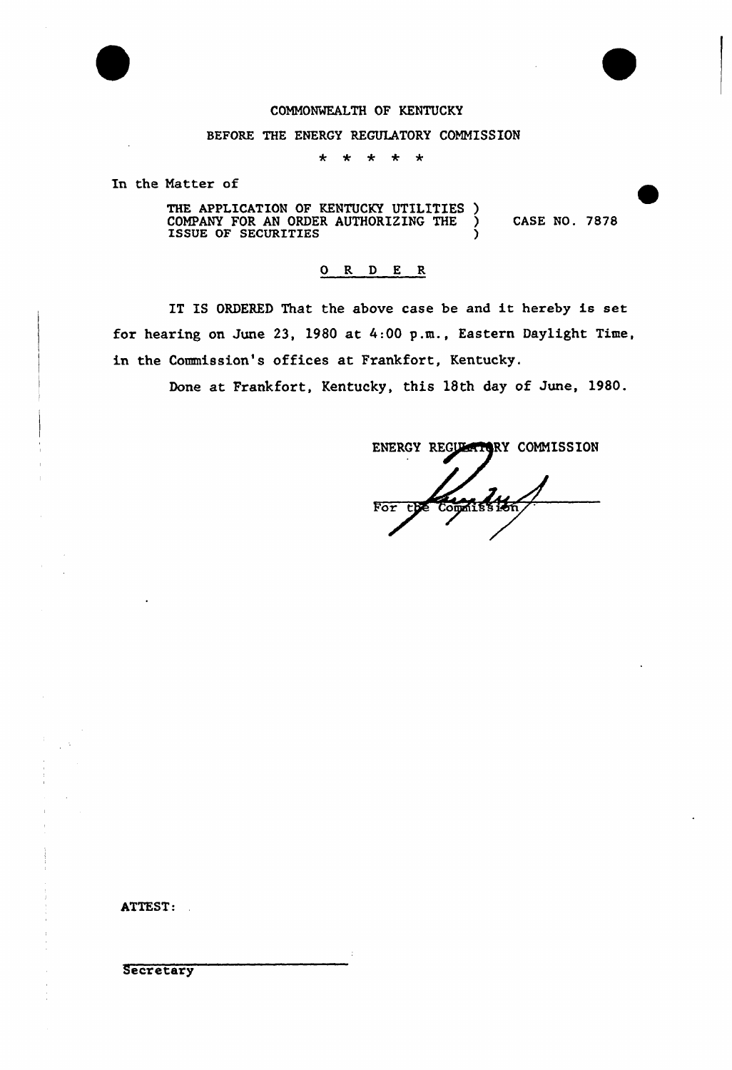

#### COMMONWEALTH OF KENTUCKY

#### BEFORE THE ENERGY REGULATORY COMMISSION

 $\star$ \* \*  $\star$  $\star$ 

In the Matter of

THE APPLICATION OF KENTUCKY UTILITIES ) COMPANY FOR AN ORDER AUTHORIZING THE  $\sum$  CASE NO. 7878 ISSUE OF SECURITIES )

#### 0 R <sup>D</sup> E R

IT IS ORDERED That the above case be and it hereby is set for hearing on June 23, 1980 at 4:00 p.m., Eastern Daylight Time, in the Commission's offices at Frankfort, Kentucky.

Done at Frankfort, Kentucky, this 18th day of June, 1980.

ENERGY REGULATORY COMMISSION Commission  $\overline{\mathtt{For}}$ 

ATTEST:

**Secretary**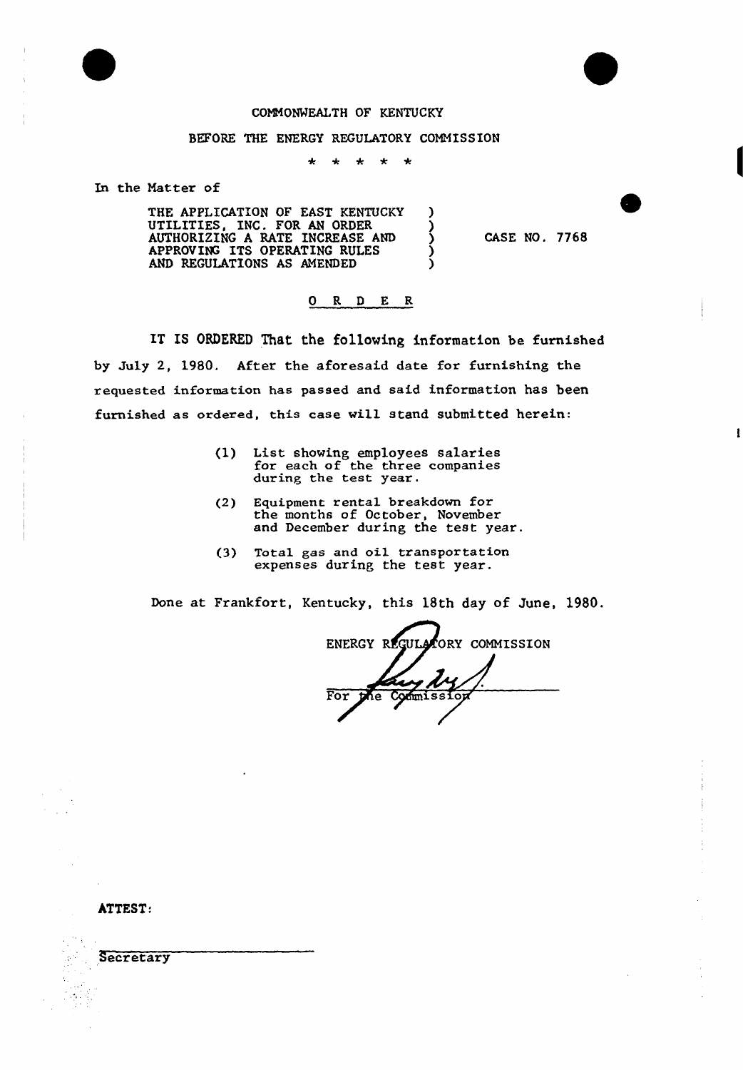### CONMONWEALTH OF KENTUCKY

#### BEFORE THE ENERGY REGULATORY COMNISSION

 $\ddot{\textbf{r}}$  $\star$   $\star$  $\star$  $\star$ 

In the Natter of

THE APPLICATION OF EAST KENTUCKY )<br>UTILITIES, INC. FOR AN ORDER ) UTILITIES, INC. FOR AN ORDER )<br>AUTHORIZING A RATE INCREASE AND ) AUTHORIZING A RATE INCREASE AND  $\left($ APPROVING ITS OPERATING RULES  $\qquad$ AND REGULATIONS AS AMENDED (

CASE NO. 7768

#### 0 R <sup>D</sup> E R

IT IS ORDERED That the following information be furnished by July 2, 1980. After the aforesaid date for furnishing the requested information has passed and said information has been furnished as ordered, this case will stand submitted herein:

- (1) List showing employees salarie for each of the three companie during the test year.
- (2) Equipment rental breakdown for the months of October, November and December during the test year.
- (3) Total gas and oil transportation expenses during the test year.

Done at Frankfort, Kentucky, this 18th day of June, 1980.

ENERGY REGULATORY COMMISSION For

ATTEST:

**Secretary**